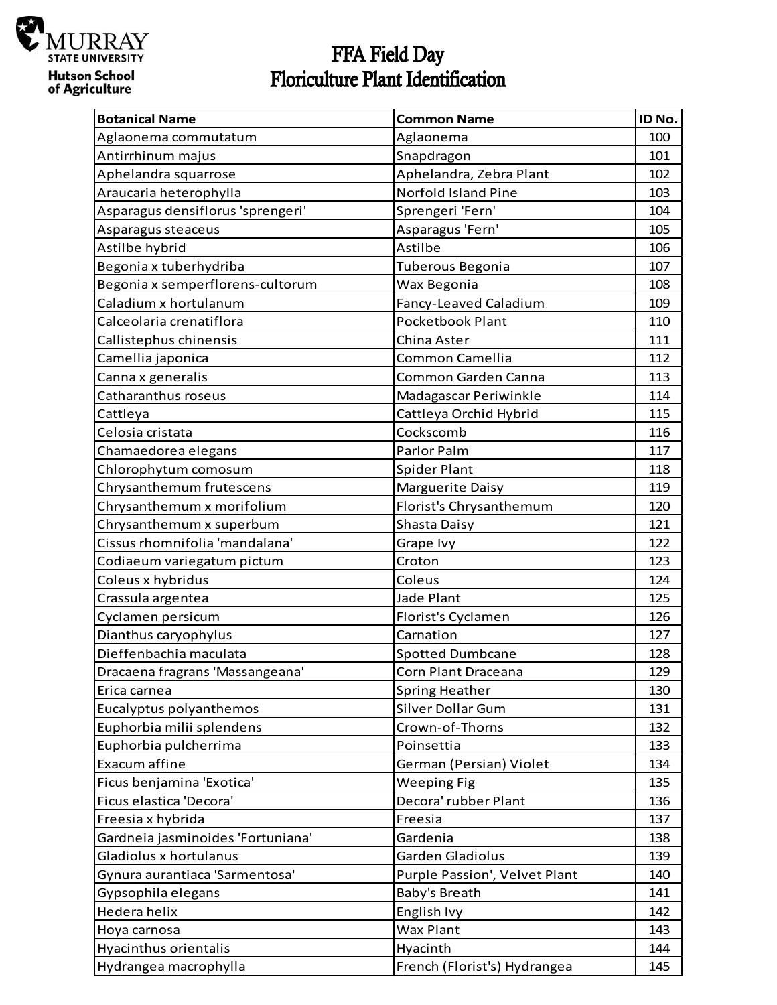

## FFA Field Day<br>Floriculture Plant Identification

| <b>Botanical Name</b>             | <b>Common Name</b>            | ID No. |
|-----------------------------------|-------------------------------|--------|
| Aglaonema commutatum              | Aglaonema                     | 100    |
| Antirrhinum majus                 | Snapdragon                    | 101    |
| Aphelandra squarrose              | Aphelandra, Zebra Plant       | 102    |
| Araucaria heterophylla            | Norfold Island Pine           | 103    |
| Asparagus densiflorus 'sprengeri' | Sprengeri 'Fern'              | 104    |
| Asparagus steaceus                | Asparagus 'Fern'              | 105    |
| Astilbe hybrid                    | Astilbe                       | 106    |
| Begonia x tuberhydriba            | Tuberous Begonia              | 107    |
| Begonia x semperflorens-cultorum  | Wax Begonia                   | 108    |
| Caladium x hortulanum             | Fancy-Leaved Caladium         | 109    |
| Calceolaria crenatiflora          | Pocketbook Plant              | 110    |
| Callistephus chinensis            | China Aster                   | 111    |
| Camellia japonica                 | Common Camellia               | 112    |
| Canna x generalis                 | Common Garden Canna           | 113    |
| Catharanthus roseus               | Madagascar Periwinkle         | 114    |
| Cattleya                          | Cattleya Orchid Hybrid        | 115    |
| Celosia cristata                  | Cockscomb                     | 116    |
| Chamaedorea elegans               | Parlor Palm                   | 117    |
| Chlorophytum comosum              | <b>Spider Plant</b>           | 118    |
| Chrysanthemum frutescens          | Marguerite Daisy              | 119    |
| Chrysanthemum x morifolium        | Florist's Chrysanthemum       | 120    |
| Chrysanthemum x superbum          | Shasta Daisy                  | 121    |
| Cissus rhomnifolia 'mandalana'    | Grape Ivy                     | 122    |
| Codiaeum variegatum pictum        | Croton                        | 123    |
| Coleus x hybridus                 | Coleus                        | 124    |
| Crassula argentea                 | Jade Plant                    | 125    |
| Cyclamen persicum                 | Florist's Cyclamen            | 126    |
| Dianthus caryophylus              | Carnation                     | 127    |
| Dieffenbachia maculata            | <b>Spotted Dumbcane</b>       | 128    |
| Dracaena fragrans 'Massangeana'   | Corn Plant Draceana           | 129    |
| Erica carnea                      | <b>Spring Heather</b>         | 130    |
| Eucalyptus polyanthemos           | Silver Dollar Gum             | 131    |
| Euphorbia milii splendens         | Crown-of-Thorns               | 132    |
| Euphorbia pulcherrima             | Poinsettia                    | 133    |
| Exacum affine                     | German (Persian) Violet       | 134    |
| Ficus benjamina 'Exotica'         | <b>Weeping Fig</b>            | 135    |
| Ficus elastica 'Decora'           | Decora' rubber Plant          | 136    |
| Freesia x hybrida                 | Freesia                       | 137    |
| Gardneia jasminoides 'Fortuniana' | Gardenia                      | 138    |
| Gladiolus x hortulanus            | Garden Gladiolus              | 139    |
| Gynura aurantiaca 'Sarmentosa'    | Purple Passion', Velvet Plant | 140    |
| Gypsophila elegans                | Baby's Breath                 | 141    |
| Hedera helix                      | English Ivy                   | 142    |
| Hoya carnosa                      | Wax Plant                     | 143    |
| Hyacinthus orientalis             | Hyacinth                      | 144    |
| Hydrangea macrophylla             | French (Florist's) Hydrangea  | 145    |